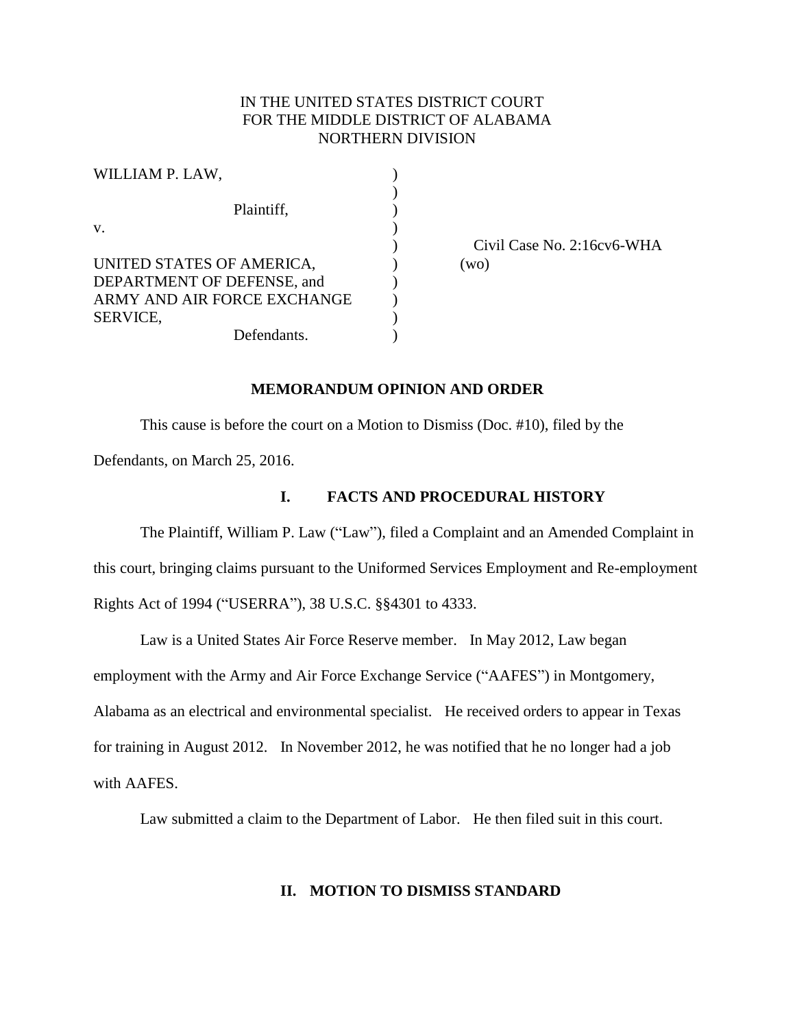# IN THE UNITED STATES DISTRICT COURT FOR THE MIDDLE DISTRICT OF ALABAMA NORTHERN DIVISION

| Сï   |
|------|
| (wo) |
|      |
|      |
|      |
|      |
|      |

) Civil Case No. 2:16cv6-WHA

#### **MEMORANDUM OPINION AND ORDER**

This cause is before the court on a Motion to Dismiss (Doc. #10), filed by the

Defendants, on March 25, 2016.

## **I. FACTS AND PROCEDURAL HISTORY**

The Plaintiff, William P. Law ("Law"), filed a Complaint and an Amended Complaint in this court, bringing claims pursuant to the Uniformed Services Employment and Re-employment Rights Act of 1994 ("USERRA"), 38 U.S.C. §§4301 to 4333.

Law is a United States Air Force Reserve member. In May 2012, Law began employment with the Army and Air Force Exchange Service ("AAFES") in Montgomery, Alabama as an electrical and environmental specialist. He received orders to appear in Texas for training in August 2012. In November 2012, he was notified that he no longer had a job with AAFES.

Law submitted a claim to the Department of Labor. He then filed suit in this court.

## **II. MOTION TO DISMISS STANDARD**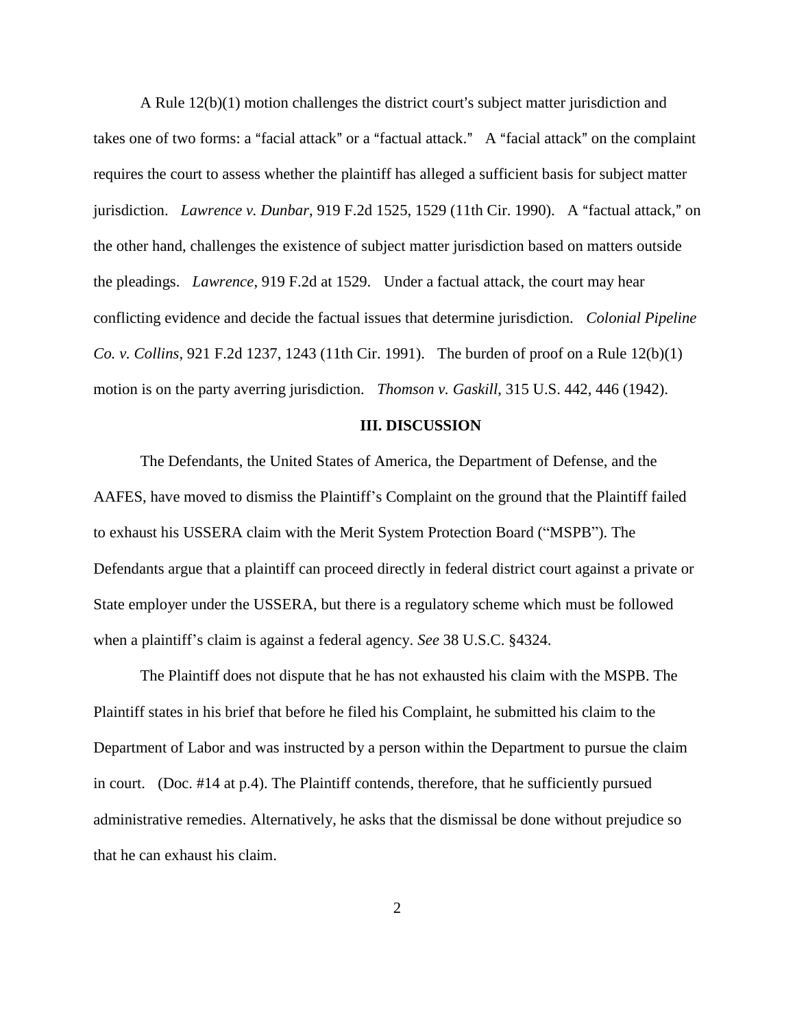A Rule  $12(b)(1)$  motion challenges the district court's subject matter jurisdiction and takes one of two forms: a "facial attack" or a "factual attack." A "facial attack" on the complaint requires the court to assess whether the plaintiff has alleged a sufficient basis for subject matter jurisdiction. *Lawrence v. Dunbar*, 919 F.2d 1525, 1529 (11th Cir. 1990). A "factual attack," on the other hand, challenges the existence of subject matter jurisdiction based on matters outside the pleadings. *Lawrence*, 919 F.2d at 1529. Under a factual attack, the court may hear conflicting evidence and decide the factual issues that determine jurisdiction. *Colonial Pipeline Co. v. Collins*, 921 F.2d 1237, 1243 (11th Cir. 1991). The burden of proof on a Rule 12(b)(1) motion is on the party averring jurisdiction. *Thomson v. Gaskill*, 315 U.S. 442, 446 (1942).

#### **III. DISCUSSION**

The Defendants, the United States of America, the Department of Defense, and the AAFES, have moved to dismiss the Plaintiff's Complaint on the ground that the Plaintiff failed to exhaust his USSERA claim with the Merit System Protection Board ("MSPB"). The Defendants argue that a plaintiff can proceed directly in federal district court against a private or State employer under the USSERA, but there is a regulatory scheme which must be followed when a plaintiff's claim is against a federal agency. *See* 38 U.S.C. §4324.

The Plaintiff does not dispute that he has not exhausted his claim with the MSPB. The Plaintiff states in his brief that before he filed his Complaint, he submitted his claim to the Department of Labor and was instructed by a person within the Department to pursue the claim in court. (Doc. #14 at p.4). The Plaintiff contends, therefore, that he sufficiently pursued administrative remedies. Alternatively, he asks that the dismissal be done without prejudice so that he can exhaust his claim.

2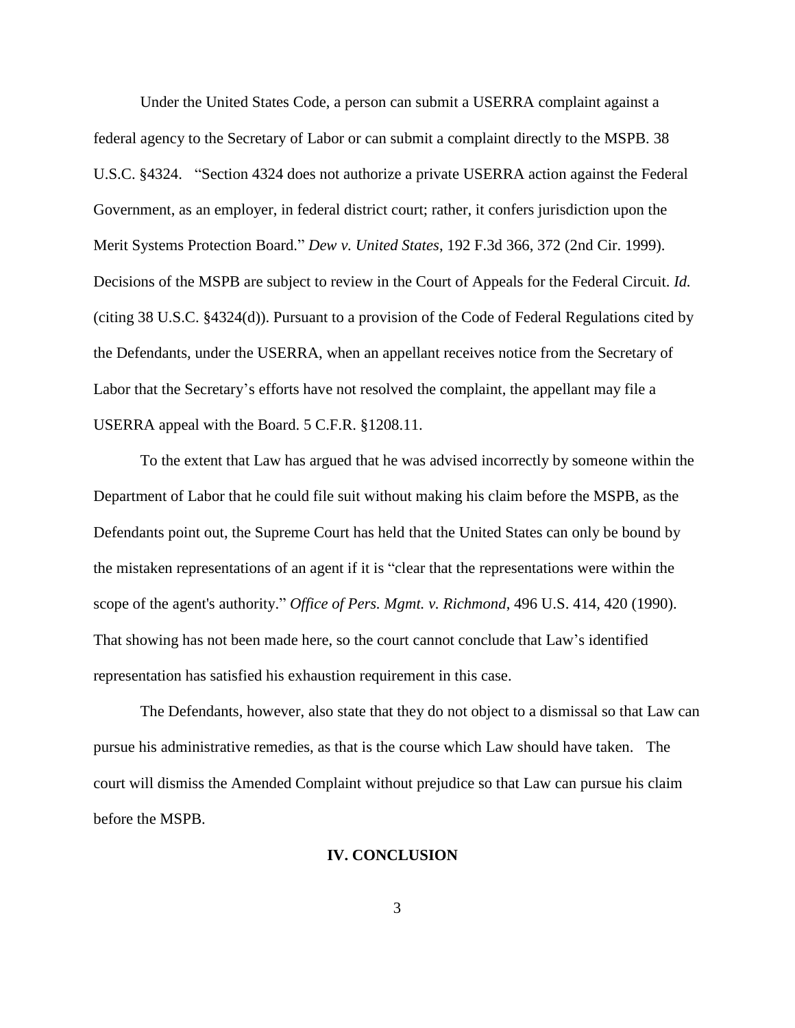Under the United States Code, a person can submit a USERRA complaint against a federal agency to the Secretary of Labor or can submit a complaint directly to the MSPB. 38 U.S.C. §4324. "Section 4324 does not authorize a private USERRA action against the Federal Government, as an employer, in federal district court; rather, it confers jurisdiction upon the Merit Systems Protection Board." *Dew v. United States*, 192 F.3d 366, 372 (2nd Cir. 1999). Decisions of the MSPB are subject to review in the Court of Appeals for the Federal Circuit. *Id.* (citing 38 U.S.C. §4324(d)). Pursuant to a provision of the Code of Federal Regulations cited by the Defendants, under the USERRA, when an appellant receives notice from the Secretary of Labor that the Secretary's efforts have not resolved the complaint, the appellant may file a USERRA appeal with the Board. 5 C.F.R. §1208.11.

To the extent that Law has argued that he was advised incorrectly by someone within the Department of Labor that he could file suit without making his claim before the MSPB, as the Defendants point out, the Supreme Court has held that the United States can only be bound by the mistaken representations of an agent if it is "clear that the representations were within the scope of the agent's authority." *Office of Pers. Mgmt. v. Richmond*, 496 U.S. 414, 420 (1990). That showing has not been made here, so the court cannot conclude that Law's identified representation has satisfied his exhaustion requirement in this case.

The Defendants, however, also state that they do not object to a dismissal so that Law can pursue his administrative remedies, as that is the course which Law should have taken. The court will dismiss the Amended Complaint without prejudice so that Law can pursue his claim before the MSPB.

#### **IV. CONCLUSION**